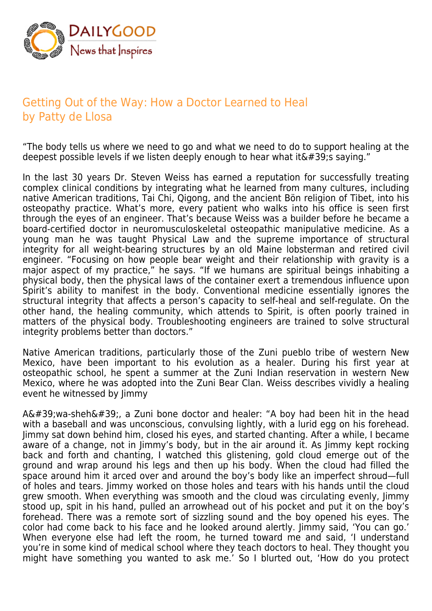

## Getting Out of the Way: How a Doctor Learned to Heal by Patty de Llosa

"The body tells us where we need to go and what we need to do to support healing at the deepest possible levels if we listen deeply enough to hear what it  $\&\#39$ ; saying."

In the last 30 years Dr. Steven Weiss has earned a reputation for successfully treating complex clinical conditions by integrating what he learned from many cultures, including native American traditions, Tai Chi, Qigong, and the ancient Bön religion of Tibet, into his osteopathy practice. What's more, every patient who walks into his office is seen first through the eyes of an engineer. That's because Weiss was a builder before he became a board-certified doctor in neuromusculoskeletal osteopathic manipulative medicine. As a young man he was taught Physical Law and the supreme importance of structural integrity for all weight-bearing structures by an old Maine lobsterman and retired civil engineer. "Focusing on how people bear weight and their relationship with gravity is a major aspect of my practice," he says. "If we humans are spiritual beings inhabiting a physical body, then the physical laws of the container exert a tremendous influence upon Spirit's ability to manifest in the body. Conventional medicine essentially ignores the structural integrity that affects a person's capacity to self-heal and self-regulate. On the other hand, the healing community, which attends to Spirit, is often poorly trained in matters of the physical body. Troubleshooting engineers are trained to solve structural integrity problems better than doctors."

Native American traditions, particularly those of the Zuni pueblo tribe of western New Mexico, have been important to his evolution as a healer. During his first year at osteopathic school, he spent a summer at the Zuni Indian reservation in western New Mexico, where he was adopted into the Zuni Bear Clan. Weiss describes vividly a healing event he witnessed by Jimmy

 $A\&\#39$ ; wa-sheh $\&\#39$ ;, a Zuni bone doctor and healer: "A boy had been hit in the head with a baseball and was unconscious, convulsing lightly, with a lurid egg on his forehead. Jimmy sat down behind him, closed his eyes, and started chanting. After a while, I became aware of a change, not in Jimmy's body, but in the air around it. As Jimmy kept rocking back and forth and chanting, I watched this glistening, gold cloud emerge out of the ground and wrap around his legs and then up his body. When the cloud had filled the space around him it arced over and around the boy's body like an imperfect shroud—full of holes and tears. Jimmy worked on those holes and tears with his hands until the cloud grew smooth. When everything was smooth and the cloud was circulating evenly, Jimmy stood up, spit in his hand, pulled an arrowhead out of his pocket and put it on the boy's forehead. There was a remote sort of sizzling sound and the boy opened his eyes. The color had come back to his face and he looked around alertly. Jimmy said, 'You can go.' When everyone else had left the room, he turned toward me and said, 'I understand you're in some kind of medical school where they teach doctors to heal. They thought you might have something you wanted to ask me.' So I blurted out, 'How do you protect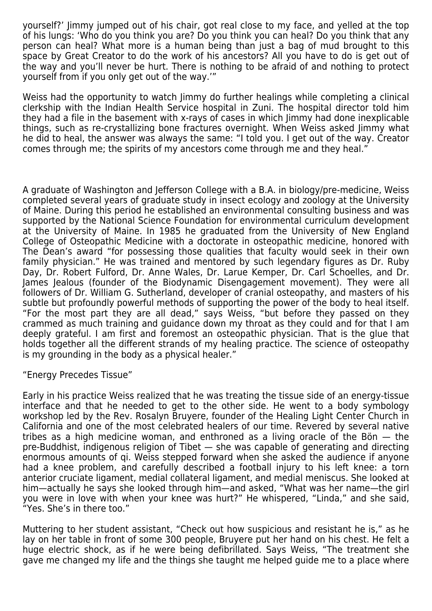yourself?' Jimmy jumped out of his chair, got real close to my face, and yelled at the top of his lungs: 'Who do you think you are? Do you think you can heal? Do you think that any person can heal? What more is a human being than just a bag of mud brought to this space by Great Creator to do the work of his ancestors? All you have to do is get out of the way and you'll never be hurt. There is nothing to be afraid of and nothing to protect yourself from if you only get out of the way.'"

Weiss had the opportunity to watch Jimmy do further healings while completing a clinical clerkship with the Indian Health Service hospital in Zuni. The hospital director told him they had a file in the basement with x-rays of cases in which Jimmy had done inexplicable things, such as re-crystallizing bone fractures overnight. When Weiss asked Jimmy what he did to heal, the answer was always the same: "I told you. I get out of the way. Creator comes through me; the spirits of my ancestors come through me and they heal."

A graduate of Washington and Jefferson College with a B.A. in biology/pre-medicine, Weiss completed several years of graduate study in insect ecology and zoology at the University of Maine. During this period he established an environmental consulting business and was supported by the National Science Foundation for environmental curriculum development at the University of Maine. In 1985 he graduated from the University of New England College of Osteopathic Medicine with a doctorate in osteopathic medicine, honored with The Dean's award "for possessing those qualities that faculty would seek in their own family physician." He was trained and mentored by such legendary figures as Dr. Ruby Day, Dr. Robert Fulford, Dr. Anne Wales, Dr. Larue Kemper, Dr. Carl Schoelles, and Dr. James Jealous (founder of the Biodynamic Disengagement movement). They were all followers of Dr. William G. Sutherland, developer of cranial osteopathy, and masters of his subtle but profoundly powerful methods of supporting the power of the body to heal itself. "For the most part they are all dead," says Weiss, "but before they passed on they crammed as much training and guidance down my throat as they could and for that I am deeply grateful. I am first and foremost an osteopathic physician. That is the glue that holds together all the different strands of my healing practice. The science of osteopathy is my grounding in the body as a physical healer."

"Energy Precedes Tissue"

Early in his practice Weiss realized that he was treating the tissue side of an energy-tissue interface and that he needed to get to the other side. He went to a body symbology workshop led by the Rev. Rosalyn Bruyere, founder of the Healing Light Center Church in California and one of the most celebrated healers of our time. Revered by several native tribes as a high medicine woman, and enthroned as a living oracle of the Bön — the pre-Buddhist, indigenous religion of Tibet — she was capable of generating and directing enormous amounts of qi. Weiss stepped forward when she asked the audience if anyone had a knee problem, and carefully described a football injury to his left knee: a torn anterior cruciate ligament, medial collateral ligament, and medial meniscus. She looked at him—actually he says she looked through him—and asked, "What was her name—the girl you were in love with when your knee was hurt?" He whispered, "Linda," and she said, "Yes. She's in there too."

Muttering to her student assistant, "Check out how suspicious and resistant he is," as he lay on her table in front of some 300 people, Bruyere put her hand on his chest. He felt a huge electric shock, as if he were being defibrillated. Says Weiss, "The treatment she gave me changed my life and the things she taught me helped guide me to a place where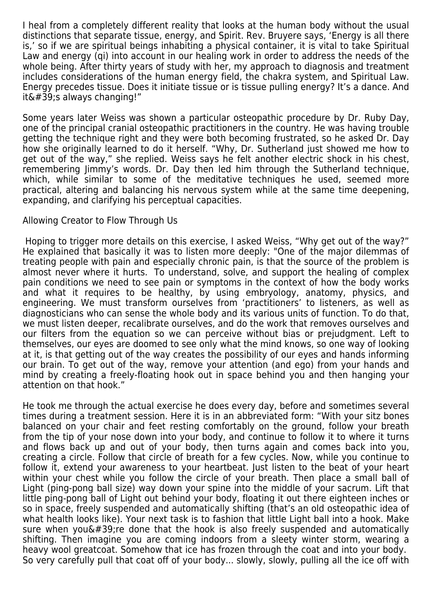I heal from a completely different reality that looks at the human body without the usual distinctions that separate tissue, energy, and Spirit. Rev. Bruyere says, 'Energy is all there is,' so if we are spiritual beings inhabiting a physical container, it is vital to take Spiritual Law and energy (qi) into account in our healing work in order to address the needs of the whole being. After thirty years of study with her, my approach to diagnosis and treatment includes considerations of the human energy field, the chakra system, and Spiritual Law. Energy precedes tissue. Does it initiate tissue or is tissue pulling energy? It's a dance. And  $it\&\#39$ ; always changing!"

Some years later Weiss was shown a particular osteopathic procedure by Dr. Ruby Day, one of the principal cranial osteopathic practitioners in the country. He was having trouble getting the technique right and they were both becoming frustrated, so he asked Dr. Day how she originally learned to do it herself. "Why, Dr. Sutherland just showed me how to get out of the way," she replied. Weiss says he felt another electric shock in his chest, remembering Jimmy's words. Dr. Day then led him through the Sutherland technique, which, while similar to some of the meditative techniques he used, seemed more practical, altering and balancing his nervous system while at the same time deepening, expanding, and clarifying his perceptual capacities.

## Allowing Creator to Flow Through Us

 Hoping to trigger more details on this exercise, I asked Weiss, "Why get out of the way?" He explained that basically it was to listen more deeply: "One of the major dilemmas of treating people with pain and especially chronic pain, is that the source of the problem is almost never where it hurts. To understand, solve, and support the healing of complex pain conditions we need to see pain or symptoms in the context of how the body works and what it requires to be healthy, by using embryology, anatomy, physics, and engineering. We must transform ourselves from 'practitioners' to listeners, as well as diagnosticians who can sense the whole body and its various units of function. To do that, we must listen deeper, recalibrate ourselves, and do the work that removes ourselves and our filters from the equation so we can perceive without bias or prejudgment. Left to themselves, our eyes are doomed to see only what the mind knows, so one way of looking at it, is that getting out of the way creates the possibility of our eyes and hands informing our brain. To get out of the way, remove your attention (and ego) from your hands and mind by creating a freely-floating hook out in space behind you and then hanging your attention on that hook."

He took me through the actual exercise he does every day, before and sometimes several times during a treatment session. Here it is in an abbreviated form: "With your sitz bones balanced on your chair and feet resting comfortably on the ground, follow your breath from the tip of your nose down into your body, and continue to follow it to where it turns and flows back up and out of your body, then turns again and comes back into you, creating a circle. Follow that circle of breath for a few cycles. Now, while you continue to follow it, extend your awareness to your heartbeat. Just listen to the beat of your heart within your chest while you follow the circle of your breath. Then place a small ball of Light (ping-pong ball size) way down your spine into the middle of your sacrum. Lift that little ping-pong ball of Light out behind your body, floating it out there eighteen inches or so in space, freely suspended and automatically shifting (that's an old osteopathic idea of what health looks like). Your next task is to fashion that little Light ball into a hook. Make sure when you $\&\#39$ ; re done that the hook is also freely suspended and automatically shifting. Then imagine you are coming indoors from a sleety winter storm, wearing a heavy wool greatcoat. Somehow that ice has frozen through the coat and into your body. So very carefully pull that coat off of your body... slowly, slowly, pulling all the ice off with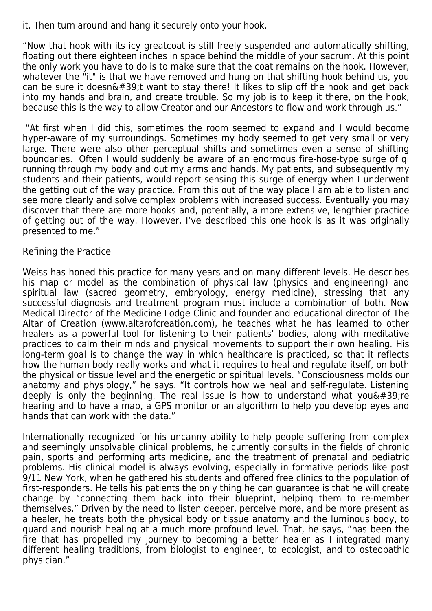it. Then turn around and hang it securely onto your hook.

"Now that hook with its icy greatcoat is still freely suspended and automatically shifting, floating out there eighteen inches in space behind the middle of your sacrum. At this point the only work you have to do is to make sure that the coat remains on the hook. However, whatever the "it" is that we have removed and hung on that shifting hook behind us, you can be sure it doesn $\&\#39$ ; twant to stay there! It likes to slip off the hook and get back into my hands and brain, and create trouble. So my job is to keep it there, on the hook, because this is the way to allow Creator and our Ancestors to flow and work through us."

 "At first when I did this, sometimes the room seemed to expand and I would become hyper-aware of my surroundings. Sometimes my body seemed to get very small or very large. There were also other perceptual shifts and sometimes even a sense of shifting boundaries. Often I would suddenly be aware of an enormous fire-hose-type surge of qi running through my body and out my arms and hands. My patients, and subsequently my students and their patients, would report sensing this surge of energy when I underwent the getting out of the way practice. From this out of the way place I am able to listen and see more clearly and solve complex problems with increased success. Eventually you may discover that there are more hooks and, potentially, a more extensive, lengthier practice of getting out of the way. However, I've described this one hook is as it was originally presented to me."

## Refining the Practice

Weiss has honed this practice for many years and on many different levels. He describes his map or model as the combination of physical law (physics and engineering) and spiritual law (sacred geometry, embryology, energy medicine), stressing that any successful diagnosis and treatment program must include a combination of both. Now Medical Director of the Medicine Lodge Clinic and founder and educational director of The Altar of Creation (www.altarofcreation.com), he teaches what he has learned to other healers as a powerful tool for listening to their patients' bodies, along with meditative practices to calm their minds and physical movements to support their own healing. His long-term goal is to change the way in which healthcare is practiced, so that it reflects how the human body really works and what it requires to heal and regulate itself, on both the physical or tissue level and the energetic or spiritual levels. "Consciousness molds our anatomy and physiology," he says. "It controls how we heal and self-regulate. Listening deeply is only the beginning. The real issue is how to understand what you  $\&\#39$ ; re hearing and to have a map, a GPS monitor or an algorithm to help you develop eyes and hands that can work with the data."

Internationally recognized for his uncanny ability to help people suffering from complex and seemingly unsolvable clinical problems, he currently consults in the fields of chronic pain, sports and performing arts medicine, and the treatment of prenatal and pediatric problems. His clinical model is always evolving, especially in formative periods like post 9/11 New York, when he gathered his students and offered free clinics to the population of first-responders. He tells his patients the only thing he can guarantee is that he will create change by "connecting them back into their blueprint, helping them to re-member themselves." Driven by the need to listen deeper, perceive more, and be more present as a healer, he treats both the physical body or tissue anatomy and the luminous body, to guard and nourish healing at a much more profound level. That, he says, "has been the fire that has propelled my journey to becoming a better healer as I integrated many different healing traditions, from biologist to engineer, to ecologist, and to osteopathic physician."